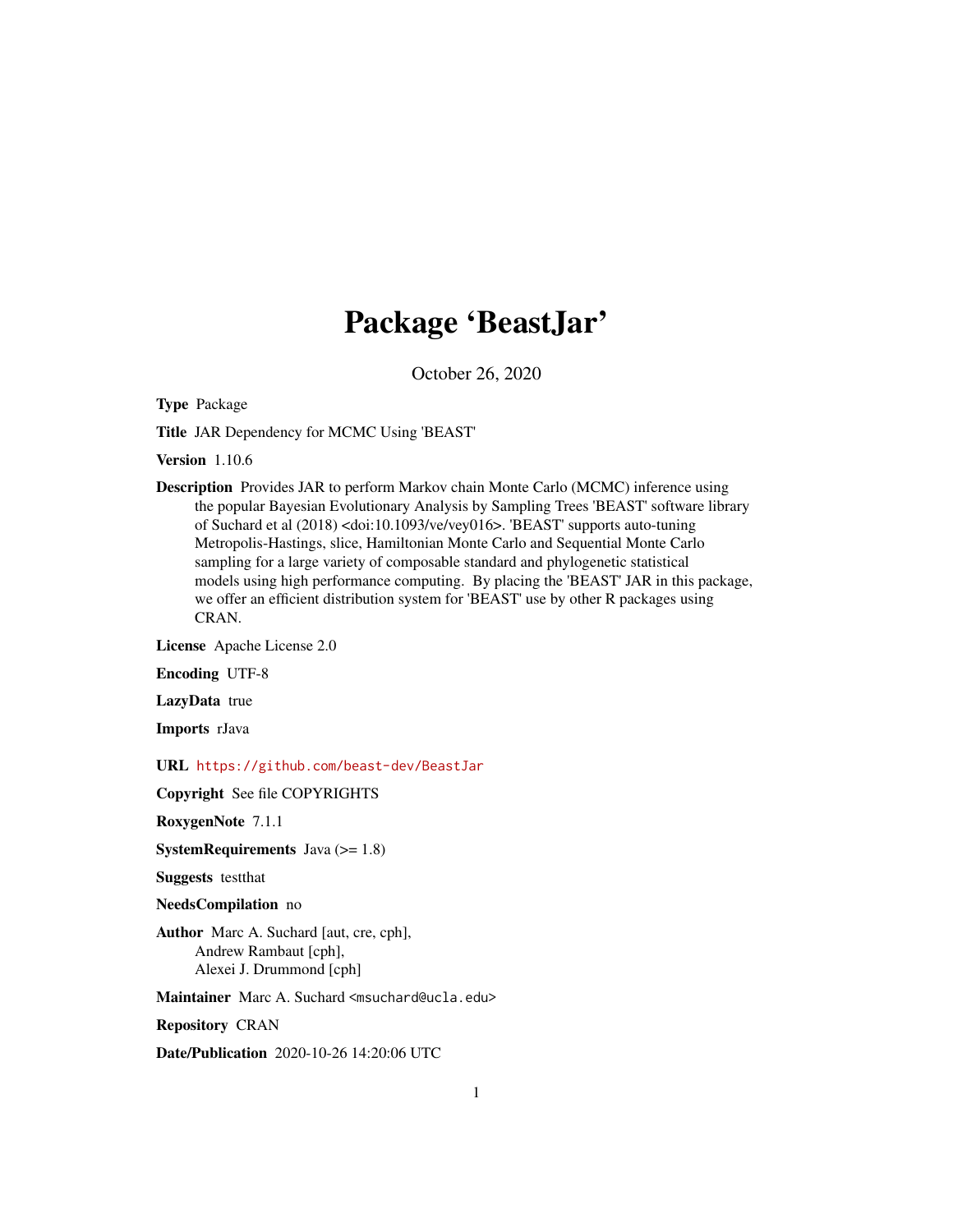## Package 'BeastJar'

October 26, 2020

Type Package

Title JAR Dependency for MCMC Using 'BEAST'

Version 1.10.6

Description Provides JAR to perform Markov chain Monte Carlo (MCMC) inference using the popular Bayesian Evolutionary Analysis by Sampling Trees 'BEAST' software library of Suchard et al (2018) <doi:10.1093/ve/vey016>. 'BEAST' supports auto-tuning Metropolis-Hastings, slice, Hamiltonian Monte Carlo and Sequential Monte Carlo sampling for a large variety of composable standard and phylogenetic statistical models using high performance computing. By placing the 'BEAST' JAR in this package, we offer an efficient distribution system for 'BEAST' use by other R packages using CRAN.

License Apache License 2.0

Encoding UTF-8

LazyData true

Imports rJava

URL <https://github.com/beast-dev/BeastJar>

Copyright See file COPYRIGHTS

RoxygenNote 7.1.1

**SystemRequirements** Java  $(>= 1.8)$ 

Suggests testthat

NeedsCompilation no

Author Marc A. Suchard [aut, cre, cph], Andrew Rambaut [cph], Alexei J. Drummond [cph]

Maintainer Marc A. Suchard <msuchard@ucla.edu>

Repository CRAN

Date/Publication 2020-10-26 14:20:06 UTC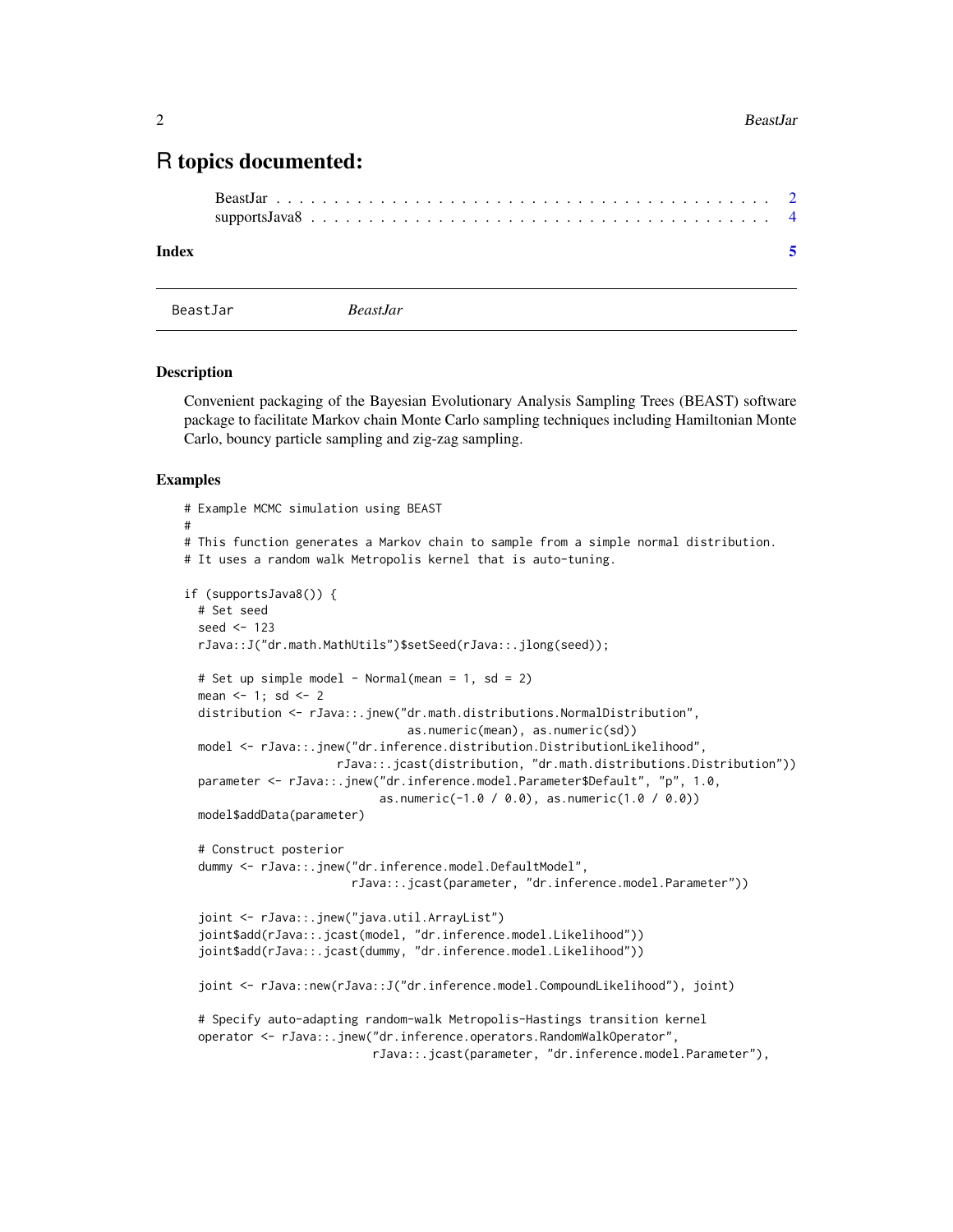### <span id="page-1-0"></span>R topics documented:

| Index |  |  |  |  |  |  |  |  |  |  |  |  |  |  |  |  |  |
|-------|--|--|--|--|--|--|--|--|--|--|--|--|--|--|--|--|--|

```
BeastJar BeastJar
```
#### Description

Convenient packaging of the Bayesian Evolutionary Analysis Sampling Trees (BEAST) software package to facilitate Markov chain Monte Carlo sampling techniques including Hamiltonian Monte Carlo, bouncy particle sampling and zig-zag sampling.

#### Examples

```
# Example MCMC simulation using BEAST
#
# This function generates a Markov chain to sample from a simple normal distribution.
# It uses a random walk Metropolis kernel that is auto-tuning.
if (supportsJava8()) {
 # Set seed
 seed <-123rJava::J("dr.math.MathUtils")$setSeed(rJava::.jlong(seed));
 # Set up simple model - Normal(mean = 1, sd = 2)
 mean <-1; sd <-2distribution <- rJava::.jnew("dr.math.distributions.NormalDistribution",
                                as.numeric(mean), as.numeric(sd))
 model <- rJava::.jnew("dr.inference.distribution.DistributionLikelihood",
                     rJava::.jcast(distribution, "dr.math.distributions.Distribution"))
 parameter <- rJava::.jnew("dr.inference.model.Parameter$Default", "p", 1.0,
                            as.numeric(-1.0 / 0.0), as.numeric(1.0 / 0.0))
 model$addData(parameter)
 # Construct posterior
 dummy <- rJava::.jnew("dr.inference.model.DefaultModel",
                        rJava::.jcast(parameter, "dr.inference.model.Parameter"))
 joint <- rJava::.jnew("java.util.ArrayList")
  joint$add(rJava::.jcast(model, "dr.inference.model.Likelihood"))
 joint$add(rJava::.jcast(dummy, "dr.inference.model.Likelihood"))
 joint <- rJava::new(rJava::J("dr.inference.model.CompoundLikelihood"), joint)
 # Specify auto-adapting random-walk Metropolis-Hastings transition kernel
 operator <- rJava::.jnew("dr.inference.operators.RandomWalkOperator",
                           rJava::.jcast(parameter, "dr.inference.model.Parameter"),
```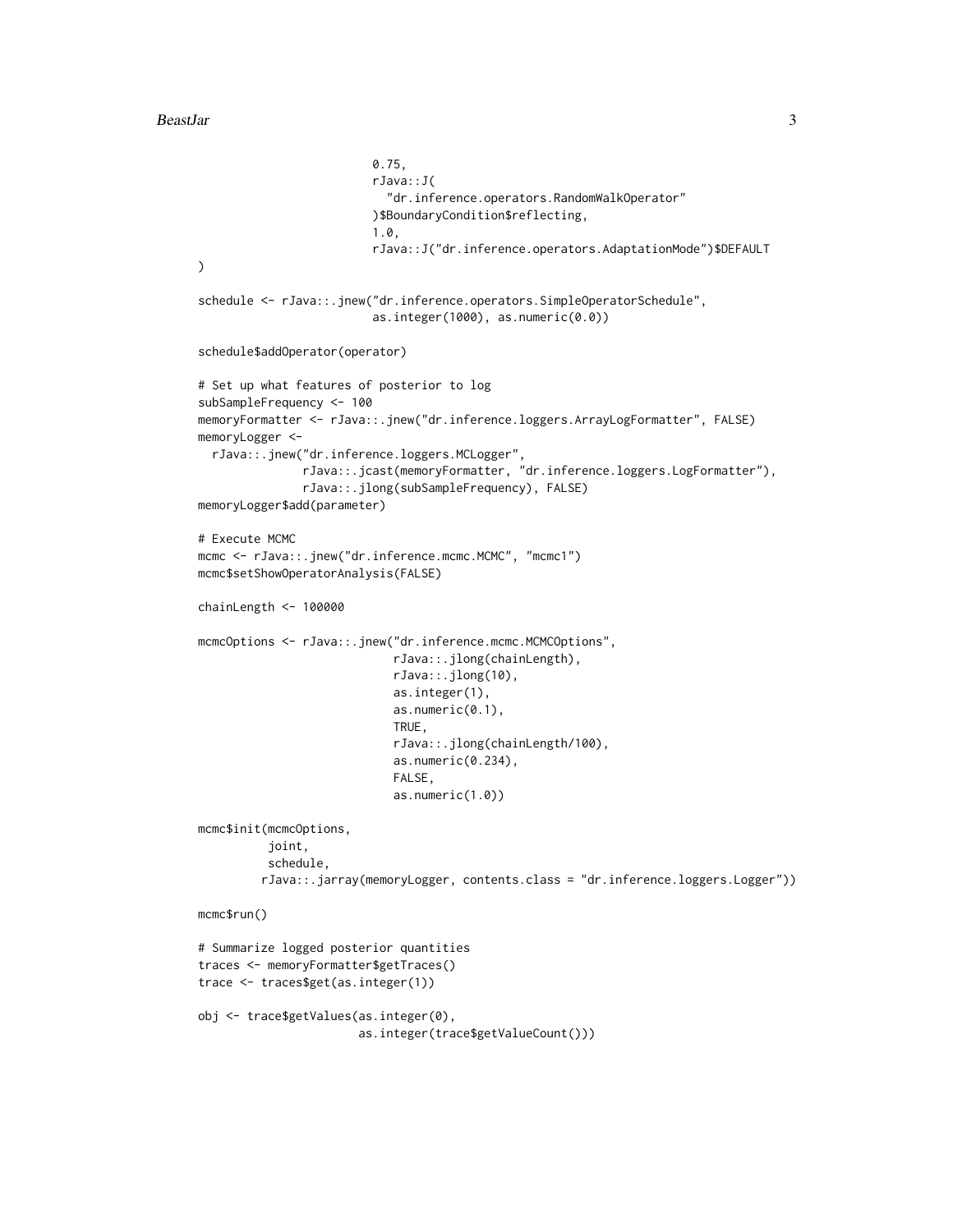```
0.75,
                         rJava::J(
                           "dr.inference.operators.RandomWalkOperator"
                         )$BoundaryCondition$reflecting,
                         1.0,
                         rJava::J("dr.inference.operators.AdaptationMode")$DEFAULT
)
schedule <- rJava::.jnew("dr.inference.operators.SimpleOperatorSchedule",
                         as.integer(1000), as.numeric(0.0))
schedule$addOperator(operator)
# Set up what features of posterior to log
subSampleFrequency <- 100
memoryFormatter <- rJava::.jnew("dr.inference.loggers.ArrayLogFormatter", FALSE)
memoryLogger <-
  rJava::.jnew("dr.inference.loggers.MCLogger",
               rJava::.jcast(memoryFormatter, "dr.inference.loggers.LogFormatter"),
               rJava::.jlong(subSampleFrequency), FALSE)
memoryLogger$add(parameter)
# Execute MCMC
mcmc <- rJava::.jnew("dr.inference.mcmc.MCMC", "mcmc1")
mcmc$setShowOperatorAnalysis(FALSE)
chainLength <- 100000
mcmcOptions <- rJava::.jnew("dr.inference.mcmc.MCMCOptions",
                            rJava::.jlong(chainLength),
                            rJava::.jlong(10),
                            as.integer(1),
                            as.numeric(0.1),
                            TRUE,
                            rJava::.jlong(chainLength/100),
                            as.numeric(0.234),
                            FALSE,
                            as.numeric(1.0))
mcmc$init(mcmcOptions,
          joint,
          schedule,
         rJava::.jarray(memoryLogger, contents.class = "dr.inference.loggers.Logger"))
mcmc$run()
# Summarize logged posterior quantities
traces <- memoryFormatter$getTraces()
trace <- traces$get(as.integer(1))
obj <- trace$getValues(as.integer(0),
                       as.integer(trace$getValueCount()))
```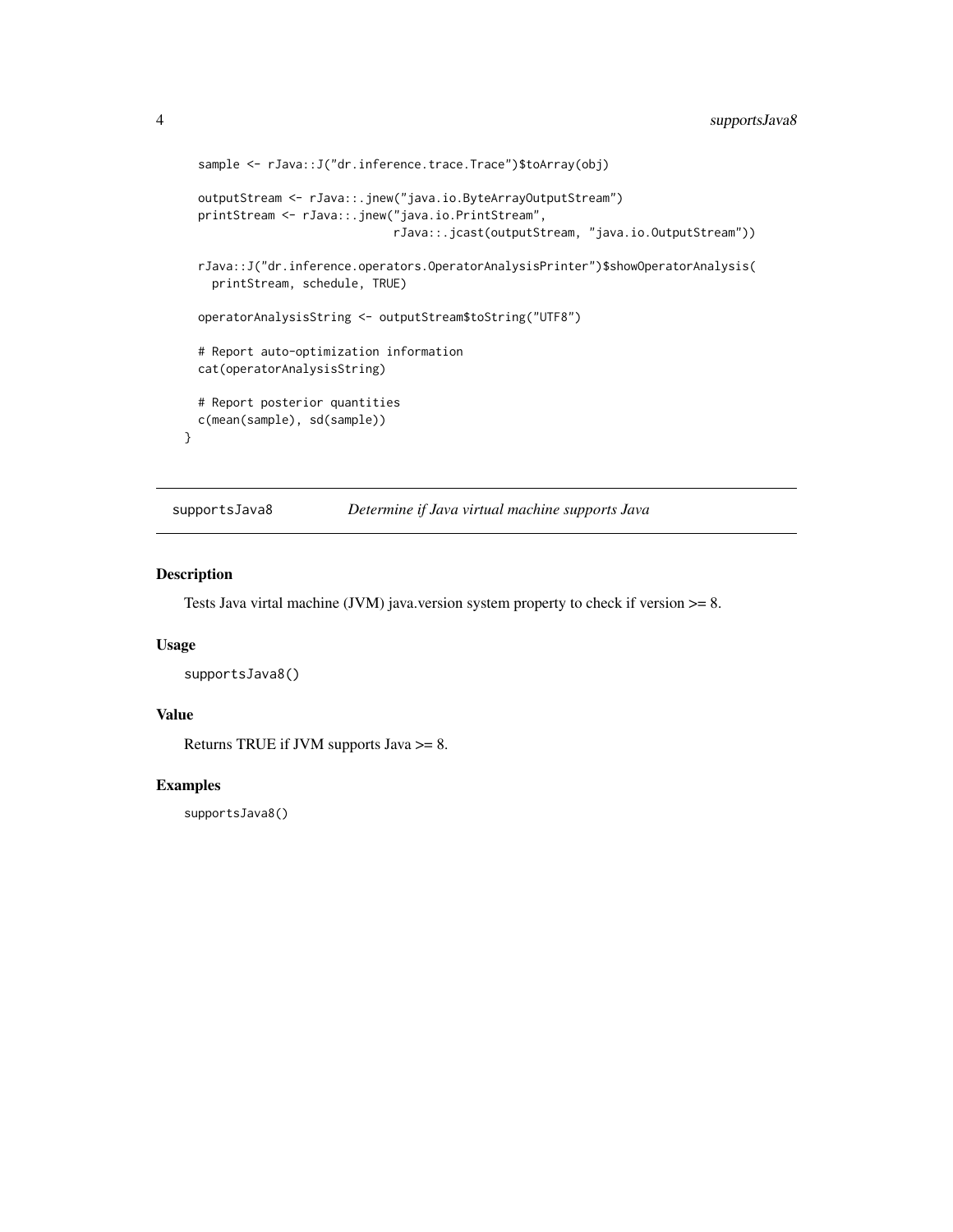```
sample <- rJava::J("dr.inference.trace.Trace")$toArray(obj)
 outputStream <- rJava::.jnew("java.io.ByteArrayOutputStream")
 printStream <- rJava::.jnew("java.io.PrintStream",
                             rJava::.jcast(outputStream, "java.io.OutputStream"))
 rJava::J("dr.inference.operators.OperatorAnalysisPrinter")$showOperatorAnalysis(
   printStream, schedule, TRUE)
 operatorAnalysisString <- outputStream$toString("UTF8")
 # Report auto-optimization information
 cat(operatorAnalysisString)
 # Report posterior quantities
 c(mean(sample), sd(sample))
}
```
supportsJava8 *Determine if Java virtual machine supports Java*

#### Description

Tests Java virtal machine (JVM) java.version system property to check if version  $\geq$ = 8.

#### Usage

```
supportsJava8()
```
#### Value

Returns TRUE if JVM supports Java >= 8.

#### Examples

supportsJava8()